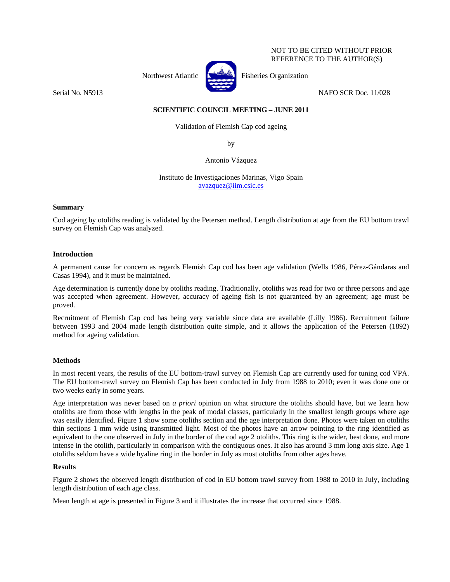### NOT TO BE CITED WITHOUT PRIOR REFERENCE TO THE AUTHOR(S)



Northwest Atlantic  $\begin{bmatrix} 1 & 1 \\ 1 & 1 \end{bmatrix}$  Fisheries Organization

Serial No. N5913 NAFO SCR Doc. 11/028

# **SCIENTIFIC COUNCIL MEETING – JUNE 2011**

Validation of Flemish Cap cod ageing

by

Antonio Vázquez

Instituto de Investigaciones Marinas, Vigo Spain avazquez@iim.csic.es

## **Summary**

Cod ageing by otoliths reading is validated by the Petersen method. Length distribution at age from the EU bottom trawl survey on Flemish Cap was analyzed.

## **Introduction**

A permanent cause for concern as regards Flemish Cap cod has been age validation (Wells 1986, Pérez-Gándaras and Casas 1994), and it must be maintained.

Age determination is currently done by otoliths reading. Traditionally, otoliths was read for two or three persons and age was accepted when agreement. However, accuracy of ageing fish is not guaranteed by an agreement; age must be proved.

Recruitment of Flemish Cap cod has being very variable since data are available (Lilly 1986). Recruitment failure between 1993 and 2004 made length distribution quite simple, and it allows the application of the Petersen (1892) method for ageing validation.

## **Methods**

In most recent years, the results of the EU bottom-trawl survey on Flemish Cap are currently used for tuning cod VPA. The EU bottom-trawl survey on Flemish Cap has been conducted in July from 1988 to 2010; even it was done one or two weeks early in some years.

Age interpretation was never based on *a priori* opinion on what structure the otoliths should have, but we learn how otoliths are from those with lengths in the peak of modal classes, particularly in the smallest length groups where age was easily identified. Figure 1 show some otoliths section and the age interpretation done. Photos were taken on otoliths thin sections 1 mm wide using transmitted light. Most of the photos have an arrow pointing to the ring identified as equivalent to the one observed in July in the border of the cod age 2 otoliths. This ring is the wider, best done, and more intense in the otolith, particularly in comparison with the contiguous ones. It also has around 3 mm long axis size. Age 1 otoliths seldom have a wide hyaline ring in the border in July as most otoliths from other ages have.

## **Results**

Figure 2 shows the observed length distribution of cod in EU bottom trawl survey from 1988 to 2010 in July, including length distribution of each age class.

Mean length at age is presented in Figure 3 and it illustrates the increase that occurred since 1988.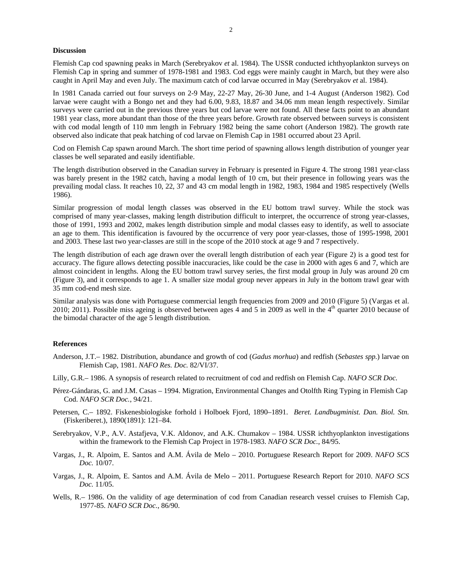#### **Discussion**

Flemish Cap cod spawning peaks in March (Serebryakov *et* al. 1984). The USSR conducted ichthyoplankton surveys on Flemish Cap in spring and summer of 1978-1981 and 1983. Cod eggs were mainly caught in March, but they were also caught in April May and even July. The maximum catch of cod larvae occurred in May (Serebryakov *et* al. 1984).

In 1981 Canada carried out four surveys on 2-9 May, 22-27 May, 26-30 June, and 1-4 August (Anderson 1982). Cod larvae were caught with a Bongo net and they had 6.00, 9.83, 18.87 and 34.06 mm mean length respectively. Similar surveys were carried out in the previous three years but cod larvae were not found. All these facts point to an abundant 1981 year class, more abundant than those of the three years before. Growth rate observed between surveys is consistent with cod modal length of 110 mm length in February 1982 being the same cohort (Anderson 1982). The growth rate observed also indicate that peak hatching of cod larvae on Flemish Cap in 1981 occurred about 23 April.

Cod on Flemish Cap spawn around March. The short time period of spawning allows length distribution of younger year classes be well separated and easily identifiable.

The length distribution observed in the Canadian survey in February is presented in Figure 4. The strong 1981 year-class was barely present in the 1982 catch, having a modal length of 10 cm, but their presence in following years was the prevailing modal class. It reaches 10, 22, 37 and 43 cm modal length in 1982, 1983, 1984 and 1985 respectively (Wells 1986).

Similar progression of modal length classes was observed in the EU bottom trawl survey. While the stock was comprised of many year-classes, making length distribution difficult to interpret, the occurrence of strong year-classes, those of 1991, 1993 and 2002, makes length distribution simple and modal classes easy to identify, as well to associate an age to them. This identification is favoured by the occurrence of very poor year-classes, those of 1995-1998, 2001 and 2003. These last two year-classes are still in the scope of the 2010 stock at age 9 and 7 respectively.

The length distribution of each age drawn over the overall length distribution of each year (Figure 2) is a good test for accuracy. The figure allows detecting possible inaccuracies, like could be the case in 2000 with ages 6 and 7, which are almost coincident in lengths. Along the EU bottom trawl survey series, the first modal group in July was around 20 cm (Figure 3), and it corresponds to age 1. A smaller size modal group never appears in July in the bottom trawl gear with 35 mm cod-end mesh size.

Similar analysis was done with Portuguese commercial length frequencies from 2009 and 2010 (Figure 5) (Vargas et al. 2010; 2011). Possible miss ageing is observed between ages 4 and 5 in 2009 as well in the  $4<sup>th</sup>$  quarter 2010 because of the bimodal character of the age 5 length distribution.

#### **References**

- Anderson, J.T.– 1982. Distribution, abundance and growth of cod (*Gadus morhua*) and redfish (*Sebastes spp.*) larvae on Flemish Cap, 1981. *NAFO Res. Doc.* 82/VI/37.
- Lilly, G.R.– 1986. A synopsis of research related to recruitment of cod and redfish on Flemish Cap. *NAFO SCR Doc.*
- Pérez-Gándaras, G. and J.M. Casas 1994. Migration, Environmental Changes and Otolfth Ring Typing in Flemish Cap Cod. *NAFO SCR Doc.*, 94/21.
- Petersen, C.– 1892. Fiskenesbiologiske forhold i Holboek Fjord, 1890–1891. *Beret. Landbugminist. Dan. Biol. Stn.*  (Fiskeriberet.), 1890(1891): 121–84.
- Serebryakov, V.P., A.V. Astafjeva, V.K. Aldonov, and A.K. Chumakov 1984. USSR ichthyoplankton investigations within the framework to the Flemish Cap Project in 1978-1983. *NAFO SCR Doc.*, 84/95.
- Vargas, J., R. Alpoim, E. Santos and A.M. Ávila de Melo 2010. Portuguese Research Report for 2009. *NAFO SCS Doc.* 10/07.
- Vargas, J., R. Alpoim, E. Santos and A.M. Ávila de Melo 2011. Portuguese Research Report for 2010. *NAFO SCS Doc.* 11/05.
- Wells, R.– 1986. On the validity of age determination of cod from Canadian research vessel cruises to Flemish Cap, 1977-85. *NAFO SCR Doc.*, 86/90.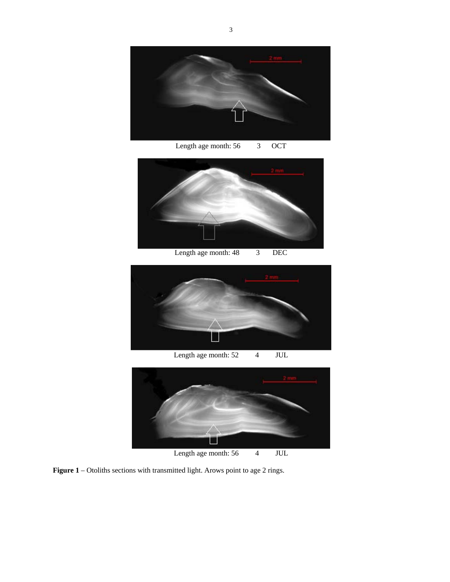

Length age month: 56 3 OCT



Length age month: 48 3 DEC



Length age month: 52 4 JUL



Length age month: 56 4 JUL

**Figure 1** – Otoliths sections with transmitted light. Arows point to age 2 rings.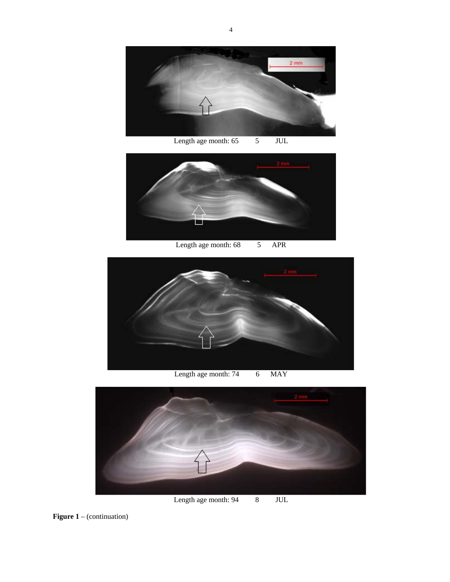

Length age month: 65 5 JUL



Length age month: 68 5 APR



Length age month: 74 6 MAY



Length age month: 94 8 JUL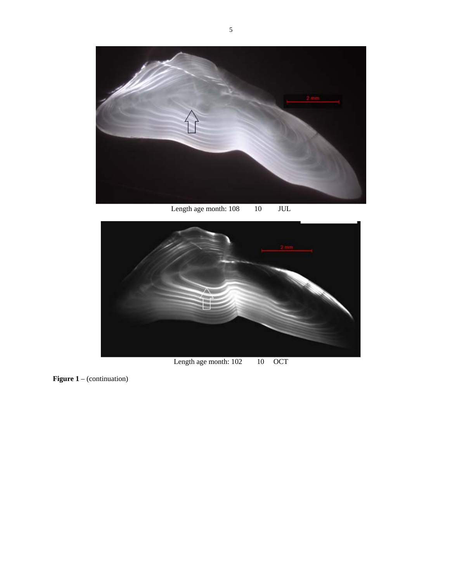

Length age month: 108 10 JUL



Length age month: 102 10 OCT

**Figure 1** – (continuation)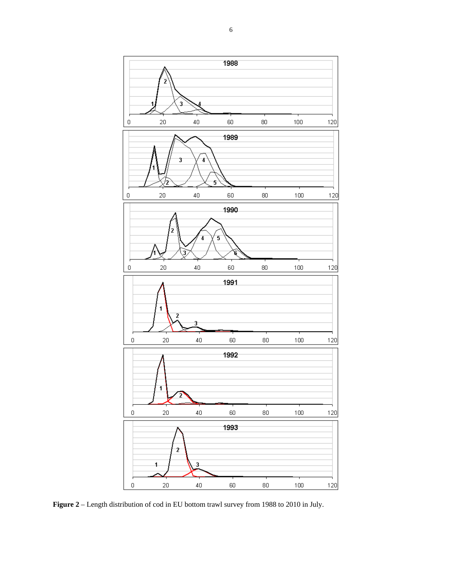

**Figure 2** – Length distribution of cod in EU bottom trawl survey from 1988 to 2010 in July.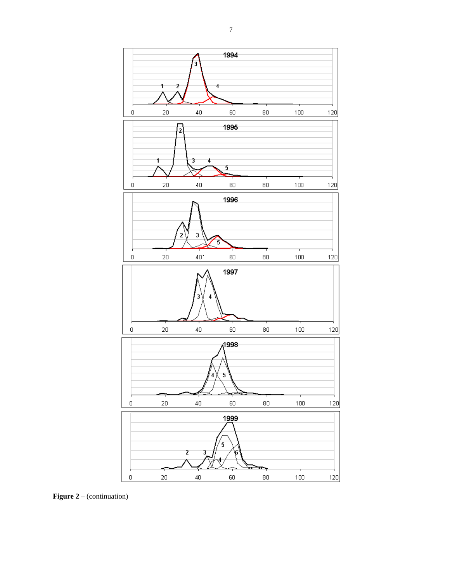

**Figure 2** – (continuation)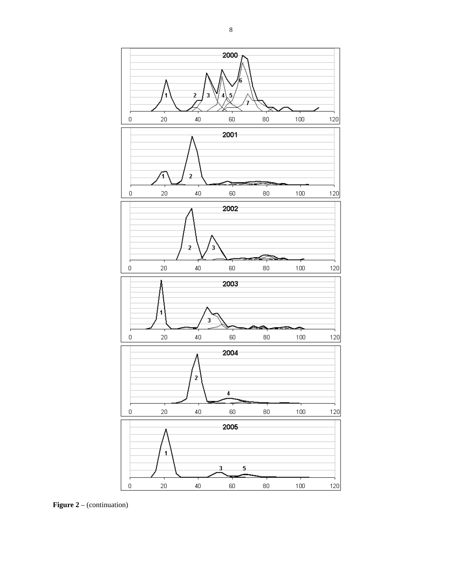

**Figure 2** – (continuation)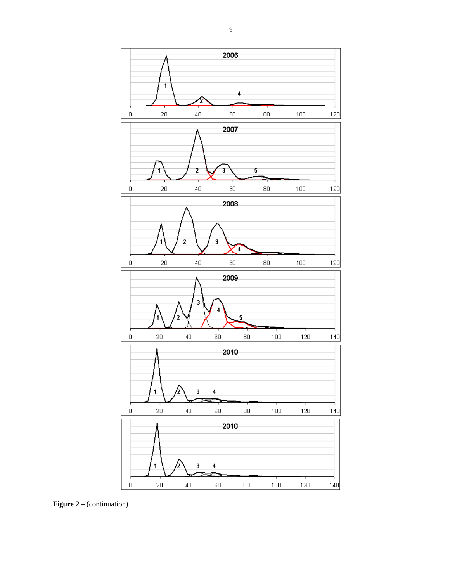

**Figure 2** – (continuation)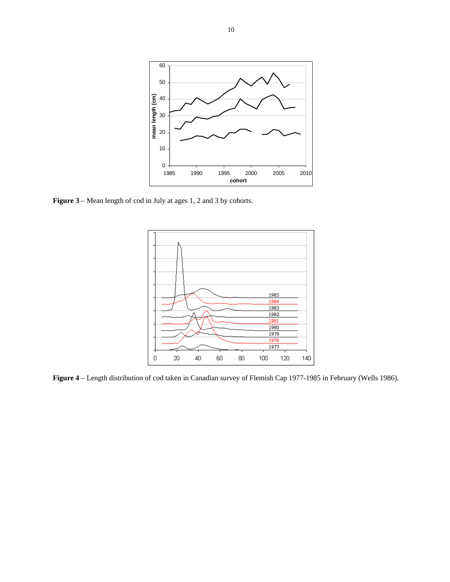

**Figure 3** – Mean length of cod in July at ages 1, 2 and 3 by cohorts.



**Figure 4** – Length distribution of cod taken in Canadian survey of Flemish Cap 1977-1985 in February (Wells 1986).